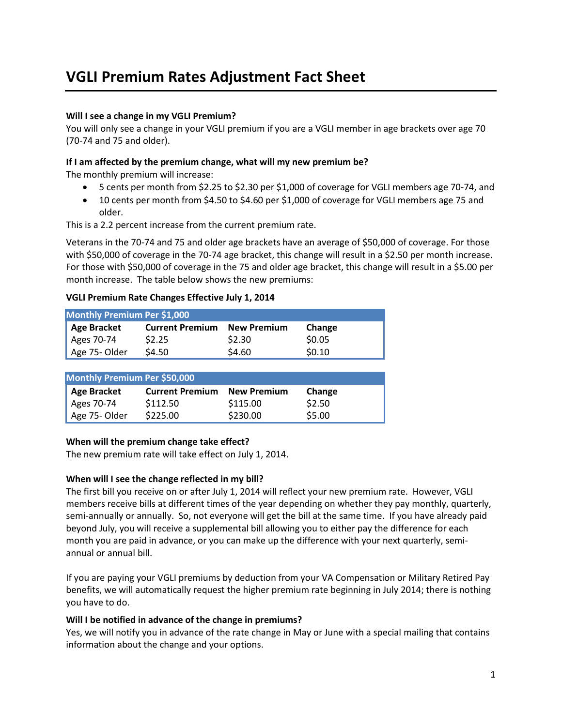# **VGLI Premium Rates Adjustment Fact Sheet**

## **Will I see a change in my VGLI Premium?**

You will only see a change in your VGLI premium if you are a VGLI member in age brackets over age 70 (70-74 and 75 and older).

#### **If I am affected by the premium change, what will my new premium be?**

The monthly premium will increase:

- 5 cents per month from \$2.25 to \$2.30 per \$1,000 of coverage for VGLI members age 70-74, and
- 10 cents per month from \$4.50 to \$4.60 per \$1,000 of coverage for VGLI members age 75 and older.

This is a 2.2 percent increase from the current premium rate.

Veterans in the 70-74 and 75 and older age brackets have an average of \$50,000 of coverage. For those with \$50,000 of coverage in the 70-74 age bracket, this change will result in a \$2.50 per month increase. For those with \$50,000 of coverage in the 75 and older age bracket, this change will result in a \$5.00 per month increase. The table below shows the new premiums:

#### **VGLI Premium Rate Changes Effective July 1, 2014**

| Monthly Premium Per \$1,000  |                        |                    |        |
|------------------------------|------------------------|--------------------|--------|
| <b>Age Bracket</b>           | <b>Current Premium</b> | <b>New Premium</b> | Change |
| Ages 70-74                   | \$2.25                 | \$2.30             | \$0.05 |
| Age 75-Older                 | \$4.50                 | \$4.60             | \$0.10 |
|                              |                        |                    |        |
| Monthly Premium Per \$50,000 |                        |                    |        |
| <b>Age Bracket</b>           | <b>Current Premium</b> | <b>New Premium</b> | Change |
| Ages 70-74                   | \$112.50               | \$115.00           | \$2.50 |
| Age 75-Older                 | \$225.00               | \$230.00           | \$5.00 |

#### **When will the premium change take effect?**

The new premium rate will take effect on July 1, 2014.

#### **When will I see the change reflected in my bill?**

The first bill you receive on or after July 1, 2014 will reflect your new premium rate. However, VGLI members receive bills at different times of the year depending on whether they pay monthly, quarterly, semi-annually or annually. So, not everyone will get the bill at the same time. If you have already paid beyond July, you will receive a supplemental bill allowing you to either pay the difference for each month you are paid in advance, or you can make up the difference with your next quarterly, semiannual or annual bill.

If you are paying your VGLI premiums by deduction from your VA Compensation or Military Retired Pay benefits, we will automatically request the higher premium rate beginning in July 2014; there is nothing you have to do.

#### **Will I be notified in advance of the change in premiums?**

Yes, we will notify you in advance of the rate change in May or June with a special mailing that contains information about the change and your options.